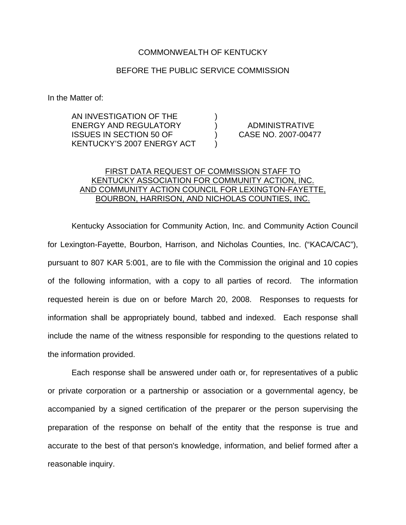## COMMONWEALTH OF KENTUCKY

## BEFORE THE PUBLIC SERVICE COMMISSION

In the Matter of:

AN INVESTIGATION OF THE ) ENERGY AND REGULATORY ) ADMINISTRATIVE ISSUES IN SECTION 50 OF ) CASE NO. 2007-00477 KENTUCKY'S 2007 ENERGY ACT )

## FIRST DATA REQUEST OF COMMISSION STAFF TO KENTUCKY ASSOCIATION FOR COMMUNITY ACTION, INC. AND COMMUNITY ACTION COUNCIL FOR LEXINGTON-FAYETTE, BOURBON, HARRISON, AND NICHOLAS COUNTIES, INC.

Kentucky Association for Community Action, Inc. and Community Action Council for Lexington-Fayette, Bourbon, Harrison, and Nicholas Counties, Inc. ("KACA/CAC"), pursuant to 807 KAR 5:001, are to file with the Commission the original and 10 copies of the following information, with a copy to all parties of record. The information requested herein is due on or before March 20, 2008. Responses to requests for information shall be appropriately bound, tabbed and indexed. Each response shall include the name of the witness responsible for responding to the questions related to the information provided.

Each response shall be answered under oath or, for representatives of a public or private corporation or a partnership or association or a governmental agency, be accompanied by a signed certification of the preparer or the person supervising the preparation of the response on behalf of the entity that the response is true and accurate to the best of that person's knowledge, information, and belief formed after a reasonable inquiry.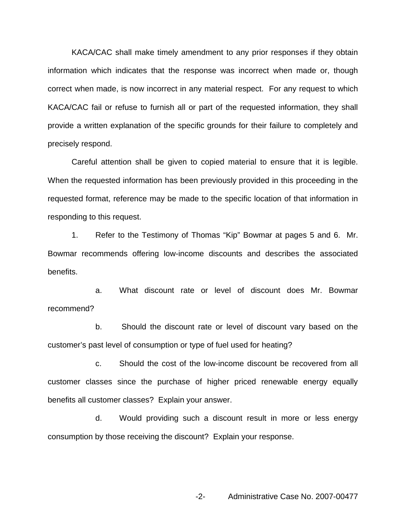KACA/CAC shall make timely amendment to any prior responses if they obtain information which indicates that the response was incorrect when made or, though correct when made, is now incorrect in any material respect. For any request to which KACA/CAC fail or refuse to furnish all or part of the requested information, they shall provide a written explanation of the specific grounds for their failure to completely and precisely respond.

Careful attention shall be given to copied material to ensure that it is legible. When the requested information has been previously provided in this proceeding in the requested format, reference may be made to the specific location of that information in responding to this request.

1. Refer to the Testimony of Thomas "Kip" Bowmar at pages 5 and 6. Mr. Bowmar recommends offering low-income discounts and describes the associated benefits.

a. What discount rate or level of discount does Mr. Bowmar recommend?

b. Should the discount rate or level of discount vary based on the customer's past level of consumption or type of fuel used for heating?

c. Should the cost of the low-income discount be recovered from all customer classes since the purchase of higher priced renewable energy equally benefits all customer classes? Explain your answer.

d. Would providing such a discount result in more or less energy consumption by those receiving the discount? Explain your response.